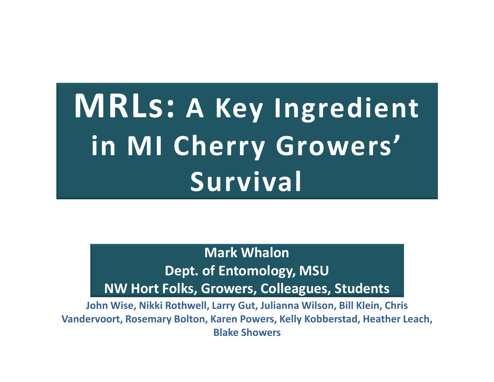# **MRLs: A Key Ingredient in MI Cherry Growers' Survival**

#### **Mark Whalon Dept. of Entomology, MSUNW Hort Folks, Growers, Colleagues, Students**

**John Wise, Nikki Rothwell, Larry Gut, Julianna Wilson, Bill Klein, Chris Vandervoort, Rosemary Bolton, Karen Powers, Kelly Kobberstad, Heather Leach, Blake Showers**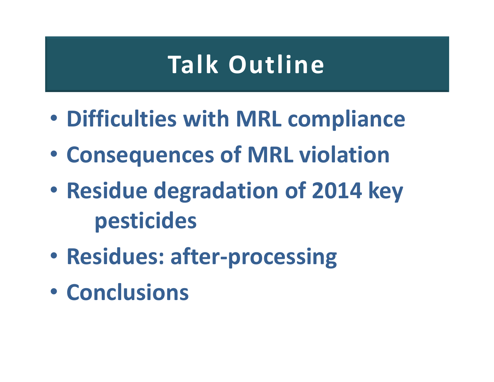# **Talk Outline**

- •**Difficulties with MRL compliance**
- $\bullet$ **Consequences of MRL violation**
- • **Residue degradation of 2014 key pesticides**
- •**Residues: after-processing**
- •**Conclusions**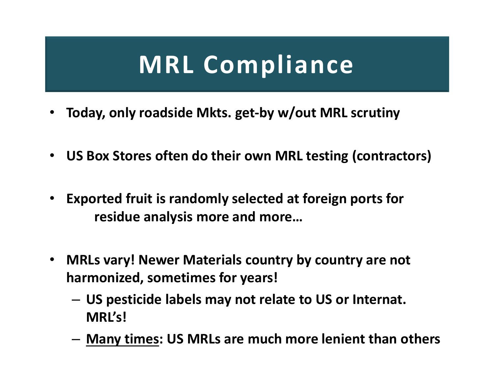# **MRL Compliance**

- •**Today, only roadside Mkts. get-by w/out MRL scrutiny**
- **US Box Stores often do their own MRL testing (contractors)**
- **Exported fruit is randomly selected at foreign ports for residue analysis more and more…**
- $\bullet$  **MRLs vary! Newer Materials country by country are not harmonized, sometimes for years!**
	- – **US pesticide labels may not relate to US or Internat. MRL's!**
	- –**Many times: US MRLs are much more lenient than others**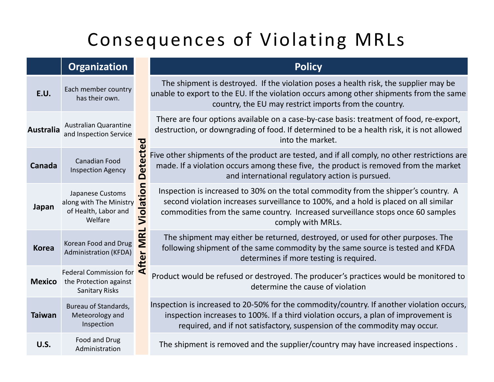#### Consequences of Violating MRLs

|                  | <b>Organization</b>                                                              |                 | <b>Policy</b>                                                                                                                                                                                                                                                                       |
|------------------|----------------------------------------------------------------------------------|-----------------|-------------------------------------------------------------------------------------------------------------------------------------------------------------------------------------------------------------------------------------------------------------------------------------|
| E.U.             | Each member country<br>has their own.                                            |                 | The shipment is destroyed. If the violation poses a health risk, the supplier may be<br>unable to export to the EU. If the violation occurs among other shipments from the same<br>country, the EU may restrict imports from the country.                                           |
| <b>Australia</b> | <b>Australian Quarantine</b><br>and Inspection Service                           |                 | There are four options available on a case-by-case basis: treatment of food, re-export,<br>destruction, or downgrading of food. If determined to be a health risk, it is not allowed<br>into the market.                                                                            |
| Canada           | Canadian Food<br><b>Inspection Agency</b>                                        | <b>Detected</b> | Five other shipments of the product are tested, and if all comply, no other restrictions are<br>made. If a violation occurs among these five, the product is removed from the market<br>and international regulatory action is pursued.                                             |
| Japan            | Japanese Customs<br>along with The Ministry<br>of Health, Labor and<br>Welfare   | Violation       | Inspection is increased to 30% on the total commodity from the shipper's country. A<br>second violation increases surveillance to 100%, and a hold is placed on all similar<br>commodities from the same country. Increased surveillance stops once 60 samples<br>comply with MRLs. |
| <b>Korea</b>     | Korean Food and Drug<br><b>Administration (KFDA)</b>                             | After MRL       | The shipment may either be returned, destroyed, or used for other purposes. The<br>following shipment of the same commodity by the same source is tested and KFDA<br>determines if more testing is required.                                                                        |
| <b>Mexico</b>    | <b>Federal Commission for</b><br>the Protection against<br><b>Sanitary Risks</b> |                 | Product would be refused or destroyed. The producer's practices would be monitored to<br>determine the cause of violation                                                                                                                                                           |
| <b>Taiwan</b>    | Bureau of Standards,<br>Meteorology and<br>Inspection                            |                 | Inspection is increased to 20-50% for the commodity/country. If another violation occurs,<br>inspection increases to 100%. If a third violation occurs, a plan of improvement is<br>required, and if not satisfactory, suspension of the commodity may occur.                       |
| U.S.             | Food and Drug<br>Administration                                                  |                 | The shipment is removed and the supplier/country may have increased inspections.                                                                                                                                                                                                    |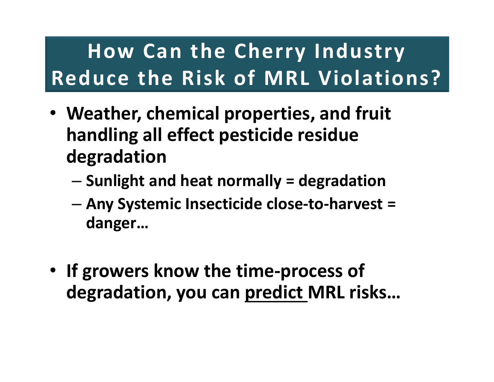### **How Can the Cherry Industry Reduce the Risk of MRL Violations?**

- **Weather, chemical properties, and fruit handling all effect pesticide residue degradation**
	- **Sunlight and heat normally = degradation**
	- **Any Systemic Insecticide close-to-harvest = danger…**
- **If growers know the time-process of degradation, you can predict MRL risks…**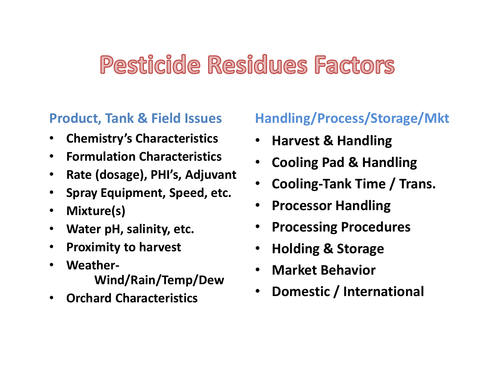#### Pesticide Residues Factors

#### **Product, Tank & Field Issues**

- $\bullet$ **Chemistry's Characteristics**
- $\bullet$ **Formulation Characteristics**
- $\bullet$ **Rate (dosage), PHI's, Adjuvant**
- $\bullet$ **Spray Equipment, Speed, etc.**
- •**Mixture(s)**
- $\bullet$ **Water pH, salinity, etc.**
- $\bullet$ **Proximity to harvest**
- • **Weather-Wind/Rain/Temp/Dew**
- •**Orchard Characteristics**

#### **Handling/Process/Storage/Mkt**

- •**Harvest & Handling**
- •**Cooling Pad & Handling**
- •**Cooling-Tank Time / Trans.**
- •**Processor Handling**
- •**Processing Procedures**
- $\bullet$ **Holding & Storage**
- •**Market Behavior**
- •**Domestic / International**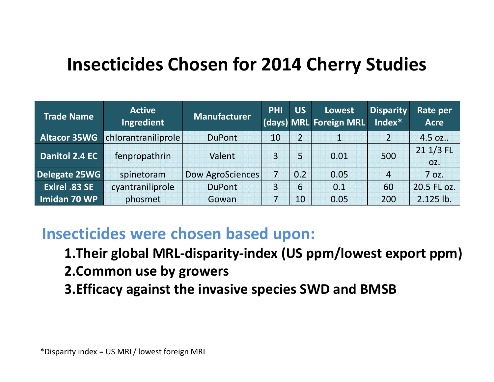#### **Insecticides Chosen for 2014 Cherry Studies**

| <b>Trade Name</b>    | <b>Active</b><br>Ingredient | <b>Manufacturer</b> | <b>PHI</b>     | <b>US</b>      | <b>Lowest</b><br>(days) MRL Foreign MRL | <b>Disparity</b><br>Index* | Rate per<br><b>Acre</b> |
|----------------------|-----------------------------|---------------------|----------------|----------------|-----------------------------------------|----------------------------|-------------------------|
| <b>Altacor 35WG</b>  | chlorantraniliprole         | <b>DuPont</b>       | 10             | $\overline{2}$ | 1                                       |                            | 4.5 oz                  |
| Danitol 2.4 EC       | fenpropathrin               | Valent              | $\overline{3}$ | 5              | 0.01                                    | 500                        | 21 1/3 FL<br>OZ.        |
| Delegate 25WG        | spinetoram                  | Dow AgroSciences    | 7              | 0.2            | 0.05                                    | $\overline{4}$             | 7 oz.                   |
| <b>Exirel .83 SE</b> | cyantraniliprole            | <b>DuPont</b>       | 3              | 6              | 0.1                                     | 60                         | 20.5 FL oz.             |
| Imidan 70 WP         | phosmet                     | Gowan               | 7              | 10             | 0.05                                    | 200                        | 2.125 lb.               |

#### **Insecticides were chosen based upon:**

- **1.Their global MRL-disparity-index (US ppm/lowest export ppm)**
- **2.Common use by growers**
- **3.Efficacy against the invasive species SWD and BMSB**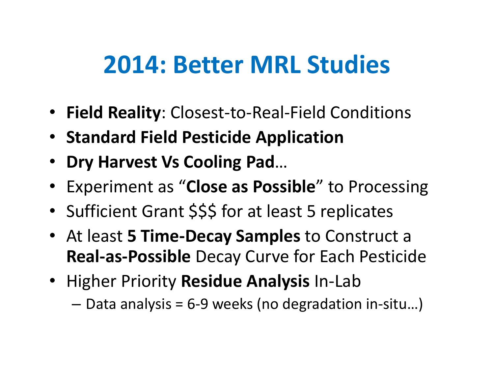### **2014: Better MRL Studies**

- **Field Reality**: Closest-to-Real-Field Conditions
- **Standard Field Pesticide Application**
- • **Dry Harvest Vs Cooling Pad**…
- Experiment as "**Close as Possible**" to Processing
- •• Sufficient Grant \$\$\$ for at least 5 replicates
- At least **5 Time-Decay Samples** to Construct a **Real-as-Possible** Decay Curve for Each Pesticide
- Higher Priority **Residue Analysis** In-Lab
	- –— Data analysis = 6-9 weeks (no degradation in-situ...)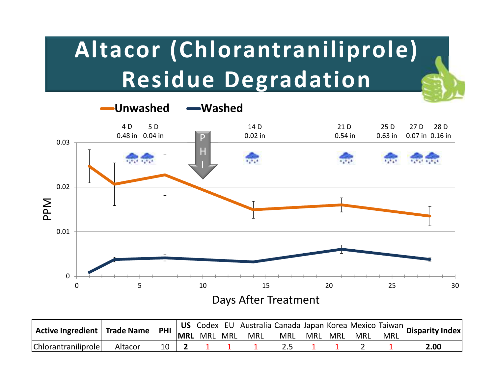# **Altacor (Chlorantraniliprole)Residue Degradation**



| Chlorantraniliprole | Altacor | 10 |  |  |  |  | 2.00 |  |
|---------------------|---------|----|--|--|--|--|------|--|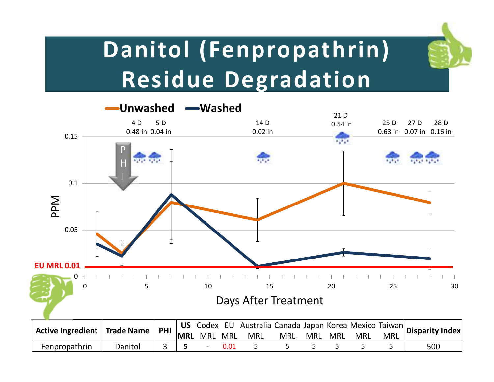

### **Danitol (Fenpropathrin)Residue Degradation**

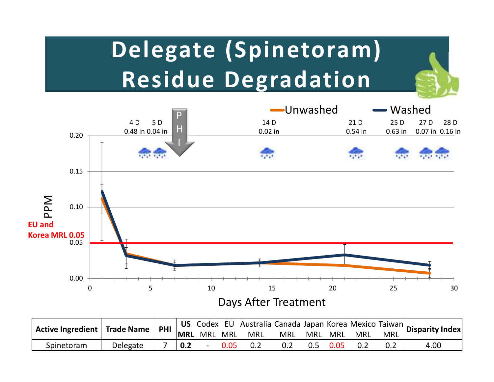# **Delegate (Spinetoram)Residue Degradation**



|            | Active Ingredient Trade Name   PHI   US Codex EU Australia Canada Japan Korea Mexico Taiwan   Disparity Index |     |        |      |     |     |      |     |      |  |
|------------|---------------------------------------------------------------------------------------------------------------|-----|--------|------|-----|-----|------|-----|------|--|
|            |                                                                                                               |     |        |      |     |     |      |     |      |  |
| Spinetoram | Delegate                                                                                                      | 0.2 | $\sim$ | 0.05 | 0.2 | 0.5 | 0.05 | 0.2 | 4.00 |  |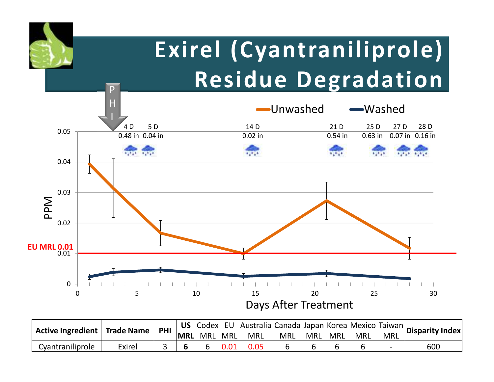

|                  | $\vert$ Active Ingredient $\vert$ Trade Name $\vert$ PHI $\vert$ US Codex EU Australia Canada Japan Korea Mexico Taiwan Disparity Index |  |      |                 |            |         |            |            |     |
|------------------|-----------------------------------------------------------------------------------------------------------------------------------------|--|------|-----------------|------------|---------|------------|------------|-----|
|                  |                                                                                                                                         |  |      | MRL MRL MRL MRL | <b>MRL</b> | MRL MRL | <b>MRL</b> | <b>MRL</b> |     |
| Cyantraniliprole | Exirel                                                                                                                                  |  | 0.01 | 0.05            |            |         |            |            | 600 |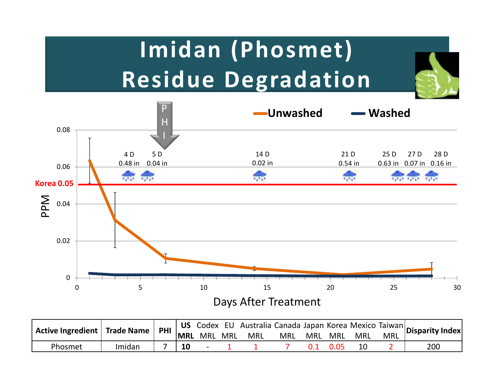# **Imidan (Phosmet)Residue Degradation**



| Active Ingredient Trade Name PHI 105 Codex EU Australia Canada Japan Korea Mexico Taiwan Disparity Index |        |           |             |            |            |         |     |            |     |
|----------------------------------------------------------------------------------------------------------|--------|-----------|-------------|------------|------------|---------|-----|------------|-----|
|                                                                                                          |        |           | MRL MRL MRL | <b>MRL</b> | <b>MRL</b> | MRL MRL | MRL | <b>MRL</b> |     |
| Phosmet                                                                                                  | Imidan | <b>10</b> |             |            |            |         |     |            | 200 |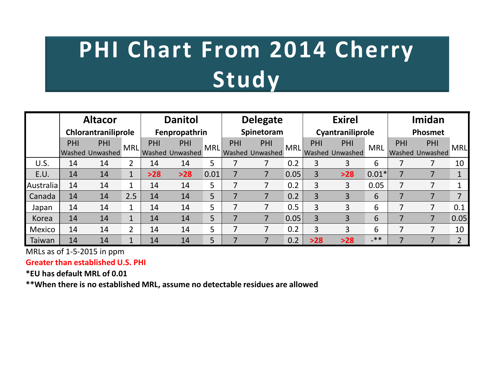# **PHI Chart From 2014 Cherry Study**

|           |     | <b>Altacor</b>      | <b>Danitol</b> |       |                 | <b>Delegate</b> |     |                 | <b>Exirel</b> |                |                        | Imidan     |         |                        |                |
|-----------|-----|---------------------|----------------|-------|-----------------|-----------------|-----|-----------------|---------------|----------------|------------------------|------------|---------|------------------------|----------------|
|           |     | Chlorantraniliprole |                |       | Fenpropathrin   |                 |     | Spinetoram      |               |                | Cyantraniliprole       |            | Phosmet |                        |                |
|           | PHI | PHI                 | <b>MRL</b>     | PHI   | PHI             | <b>MRL</b>      | PHI | PHI             | MRL           | PHI            | PHI                    | <b>MRL</b> | PHI     | PHI                    | <b>MRL</b>     |
|           |     | Washed Unwashed     |                |       | Washed Unwashed |                 |     | Washed Unwashed |               |                | <b>Washed Unwashed</b> |            |         | <b>Washed Unwashed</b> |                |
| U.S.      | 14  | 14                  | 2              | 14    | 14              | 5               |     |                 | 0.2           | 3              | 3                      | 6          |         |                        | 10             |
| E.U.      | 14  | 14                  | $\mathbf{1}$   | $>28$ | $>28$           | 0.01            |     | 7               | 0.05          | $\overline{3}$ | $>28$                  | $0.01*$    |         |                        |                |
| Australia | 14  | 14                  | 1              | 14    | 14              | 5               |     | 7               | 0.2           | 3              | 3                      | 0.05       |         |                        |                |
| Canada    | 14  | 14                  | 2.5            | 14    | 14              | 5               |     |                 | 0.2           | $\overline{3}$ | 3                      | 6          |         |                        | ⇁              |
| Japan     | 14  | 14                  | 1              | 14    | 14              | 5               |     | 7               | 0.5           | 3              | 3                      | 6          |         | 7                      | 0.1            |
| Korea     | 14  | 14                  | $\mathbf{1}$   | 14    | 14              | 5               |     | 7               | 0.05          | 3              | 3                      | 6          |         | 7                      | 0.05           |
| Mexico    | 14  | 14                  | 2              | 14    | 14              | 5               |     | 7               | 0.2           | $\overline{3}$ | 3                      | 6          |         | 7                      | 10             |
| Taiwan    | 14  | 14                  | $\mathbf{1}$   | 14    | 14              | 5               |     |                 | 0.2           | $>28$          | $>28$                  | $-***$     |         |                        | $\overline{2}$ |

MRLs as of 1-5-2015 in ppm

**Greater than established U.S. PHI**

**\*EU has default MRL of 0.01**

**\*\*When there is no established MRL, assume no detectable residues are allowed**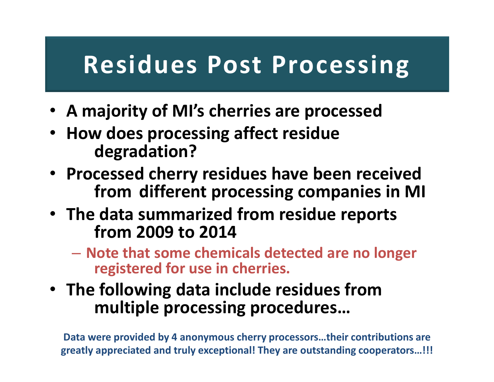### **Residues Post Processing**

- **A majority of MI's cherries are processed**
- **How does processing affect residue degradation?**
- **Processed cherry residues have been received from different processing companies in MI**
- **The data summarized from residue reports from 2009 to 2014**
	- – **Note that some chemicals detected are no longer registered for use in cherries.**
- **The following data include residues from multiple processing procedures…**

**Data were provided by 4 anonymous cherry processors…their contributions are greatly appreciated and truly exceptional! They are outstanding cooperators…!!!**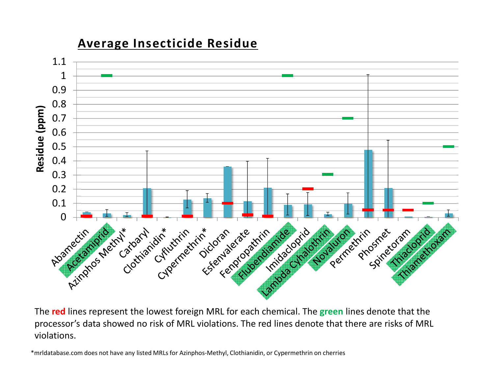

**Average Insecticide Residue**

The **red** lines represent the lowest foreign MRL for each chemical. The **green** lines denote that the processor's data showed no risk of MRL violations. The red lines denote that there are risks of MRL violations.

\*mrldatabase.com does not have any listed MRLs for Azinphos-Methyl, Clothianidin, or Cypermethrin on cherries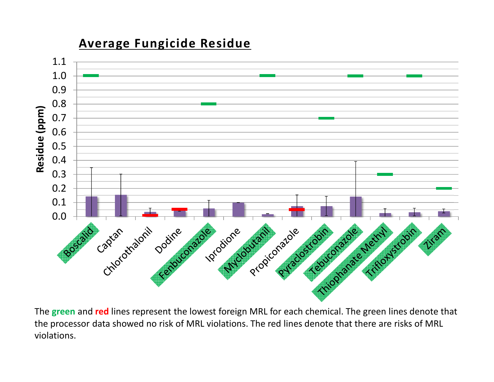

**Average Fungicide Residue**

The **green** and **red** lines represent the lowest foreign MRL for each chemical. The green lines denote that the processor data showed no risk of MRL violations. The red lines denote that there are risks of MRL violations.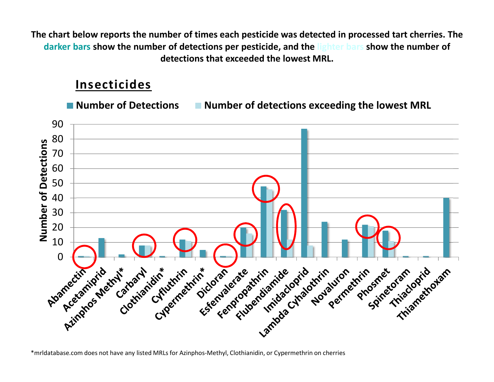**The chart below reports the number of times each pesticide was detected in processed tart cherries. The darker bars show the number of detections per pesticide, and the lighter bars show the number of detections that exceeded the lowest MRL.**

#### **Insecticides**

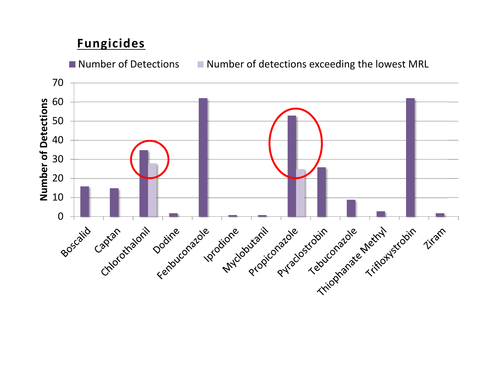#### **Fungicides**

■ Number of Detections ■ Number of detections exceeding the lowest MRL